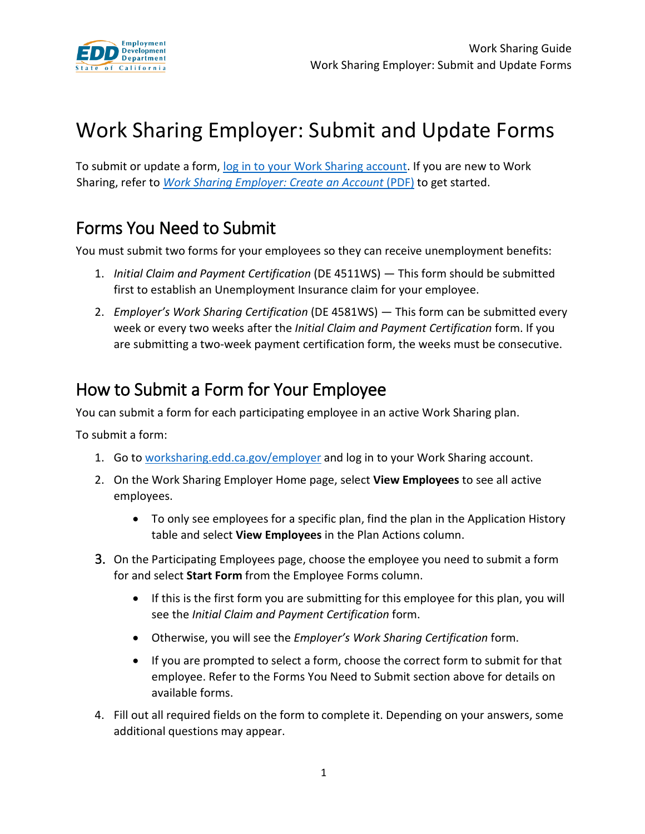

# Work Sharing Employer: Submit and Update Forms

To submit or update a form, [log in to your Work Sharing account.](https://worksharing.edd.ca.gov/employer) If you are new to Work Sharing, refer to *[Work Sharing Employer: Create an Account](https://www.edd.ca.gov/unemployment/pdf/Guide-2_Work-Sharing-Employer_Log-in-to-Your-Account)* (PDF) to get started.

### Forms You Need to Submit

You must submit two forms for your employees so they can receive unemployment benefits:

- 1. *Initial Claim and Payment Certification* (DE 4511WS) This form should be submitted first to establish an Unemployment Insurance claim for your employee.
- 2. *Employer's Work Sharing Certification* (DE 4581WS) This form can be submitted every week or every two weeks after the *Initial Claim and Payment Certification* form. If you are submitting a two-week payment certification form, the weeks must be consecutive.

### How to Submit a Form for Your Employee

You can submit a form for each participating employee in an active Work Sharing plan.

To submit a form:

- 1. Go t[o worksharing.edd.ca.gov/employer](https://worksharing.edd.ca.gov/employer) and log in to your Work Sharing account.
- 2. On the Work Sharing Employer Home page, select **View Employees** to see all active employees.
	- To only see employees for a specific plan, find the plan in the Application History table and select **View Employees** in the Plan Actions column.
- 3. On the Participating Employees page, choose the employee you need to submit a form for and select **Start Form** from the Employee Forms column.
	- If this is the first form you are submitting for this employee for this plan, you will see the *Initial Claim and Payment Certification* form.
	- Otherwise, you will see the *Employer's Work Sharing Certification* form.
	- If you are prompted to select a form, choose the correct form to submit for that employee. Refer to the Forms You Need to Submit section above for details on available forms.
- 4. Fill out all required fields on the form to complete it. Depending on your answers, some additional questions may appear.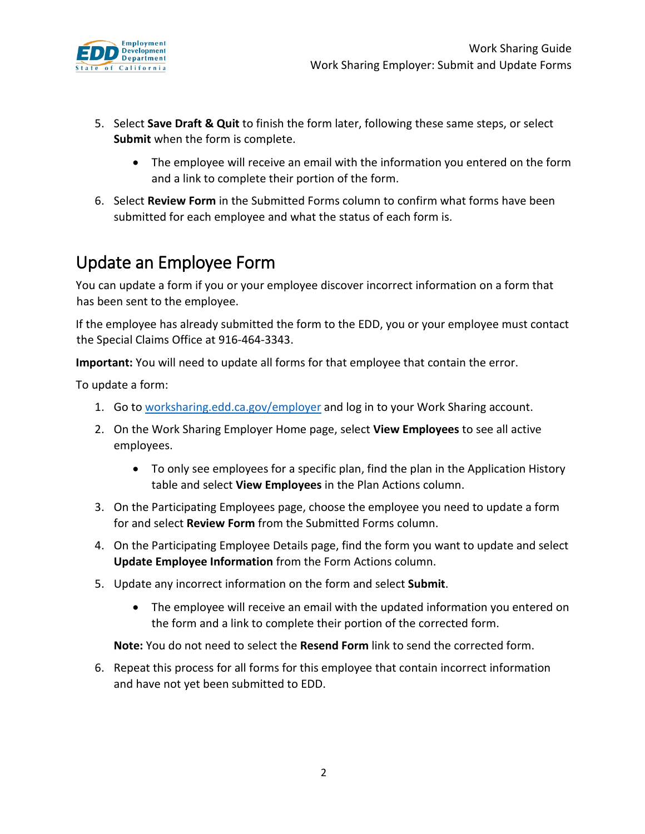

- 5. Select **Save Draft & Quit** to finish the form later, following these same steps, or select **Submit** when the form is complete.
	- The employee will receive an email with the information you entered on the form and a link to complete their portion of the form.
- 6. Select **Review Form** in the Submitted Forms column to confirm what forms have been submitted for each employee and what the status of each form is.

# Update an Employee Form

You can update a form if you or your employee discover incorrect information on a form that has been sent to the employee.

If the employee has already submitted the form to the EDD, you or your employee must contact the Special Claims Office at 916-464-3343.

**Important:** You will need to update all forms for that employee that contain the error.

To update a form:

- 1. Go t[o worksharing.edd.ca.gov/employer](https://worksharing.edd.ca.gov/employer) and log in to your Work Sharing account.
- 2. On the Work Sharing Employer Home page, select **View Employees** to see all active employees.
	- To only see employees for a specific plan, find the plan in the Application History table and select **View Employees** in the Plan Actions column.
- 3. On the Participating Employees page, choose the employee you need to update a form for and select **Review Form** from the Submitted Forms column.
- 4. On the Participating Employee Details page, find the form you want to update and select **Update Employee Information** from the Form Actions column.
- 5. Update any incorrect information on the form and select **Submit**.
	- The employee will receive an email with the updated information you entered on the form and a link to complete their portion of the corrected form.

**Note:** You do not need to select the **Resend Form** link to send the corrected form.

6. Repeat this process for all forms for this employee that contain incorrect information and have not yet been submitted to EDD.